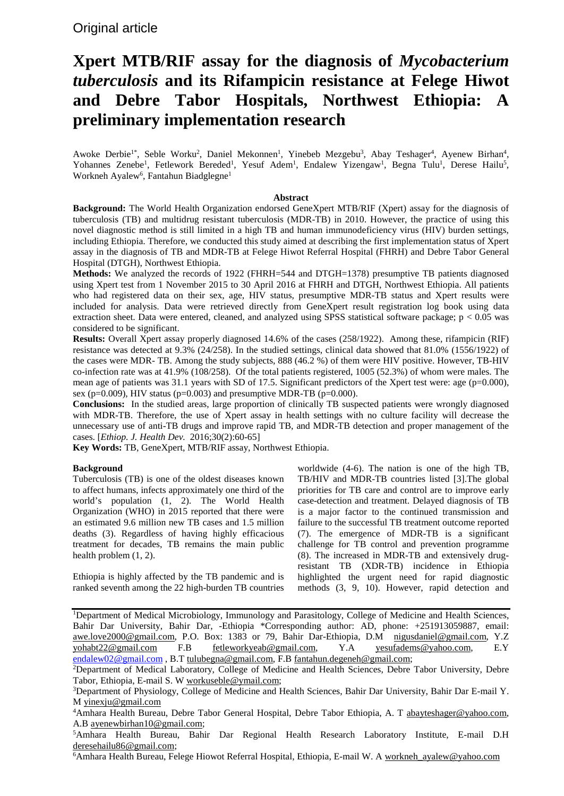# **Xpert MTB/RIF assay for the diagnosis of** *Mycobacterium tuberculosis* **and its Rifampicin resistance at Felege Hiwot and Debre Tabor Hospitals, Northwest Ethiopia: A preliminary implementation research**

Awoke Derbie<sup>1\*</sup>, Seble Worku<sup>2</sup>, Daniel Mekonnen<sup>1</sup>, Yinebeb Mezgebu<sup>3</sup>, Abay Teshager<sup>4</sup>, Ayenew Birhan<sup>4</sup>, Yohannes Zenebe<sup>1</sup>, Fetlework Bereded<sup>1</sup>, Yesuf Adem<sup>1</sup>, Endalew Yizengaw<sup>1</sup>, Begna Tulu<sup>1</sup>, Derese Hailu<sup>5</sup>, Workneh Ayalew<sup>6</sup>, Fantahun Biadglegne<sup>1</sup>

## **Abstract**

**Background:** The World Health Organization endorsed GeneXpert MTB/RIF (Xpert) assay for the diagnosis of tuberculosis (TB) and multidrug resistant tuberculosis (MDR-TB) in 2010. However, the practice of using this novel diagnostic method is still limited in a high TB and human immunodeficiency virus (HIV) burden settings, including Ethiopia. Therefore, we conducted this study aimed at describing the first implementation status of Xpert assay in the diagnosis of TB and MDR-TB at Felege Hiwot Referral Hospital (FHRH) and Debre Tabor General Hospital (DTGH), Northwest Ethiopia.

**Methods:** We analyzed the records of 1922 (FHRH=544 and DTGH=1378) presumptive TB patients diagnosed using Xpert test from 1 November 2015 to 30 April 2016 at FHRH and DTGH, Northwest Ethiopia. All patients who had registered data on their sex, age, HIV status, presumptive MDR-TB status and Xpert results were included for analysis. Data were retrieved directly from GeneXpert result registration log book using data extraction sheet. Data were entered, cleaned, and analyzed using SPSS statistical software package;  $p < 0.05$  was considered to be significant.

**Results:** Overall Xpert assay properly diagnosed 14.6% of the cases (258/1922). Among these, rifampicin (RIF) resistance was detected at 9.3% (24/258). In the studied settings, clinical data showed that 81.0% (1556/1922) of the cases were MDR- TB. Among the study subjects, 888 (46.2 %) of them were HIV positive. However, TB-HIV co-infection rate was at 41.9% (108/258). Of the total patients registered, 1005 (52.3%) of whom were males. The mean age of patients was 31.1 years with SD of 17.5. Significant predictors of the Xpert test were: age (p=0.000), sex (p=0.009), HIV status (p=0.003) and presumptive MDR-TB (p=0.000).

**Conclusions:** In the studied areas, large proportion of clinically TB suspected patients were wrongly diagnosed with MDR-TB. Therefore, the use of Xpert assay in health settings with no culture facility will decrease the unnecessary use of anti-TB drugs and improve rapid TB, and MDR-TB detection and proper management of the cases. [*Ethiop. J. Health Dev.* 2016;30(2):60-65]

**Key Words:** TB, GeneXpert, MTB/RIF assay, Northwest Ethiopia.

# **Background**

Tuberculosis (TB) is one of the oldest diseases known to affect humans, infects approximately one third of the world's population (1, 2). The World Health Organization (WHO) in 2015 reported that there were an estimated 9.6 million new TB cases and 1.5 million deaths (3). Regardless of having highly efficacious treatment for decades, TB remains the main public health problem (1, 2).

Ethiopia is highly affected by the TB pandemic and is ranked seventh among the 22 high-burden TB countries worldwide (4-6). The nation is one of the high TB, TB/HIV and MDR-TB countries listed [3].The global priorities for TB care and control are to improve early case-detection and treatment. Delayed diagnosis of TB is a major factor to the continued transmission and failure to the successful TB treatment outcome reported (7). The emergence of MDR-TB is a significant challenge for TB control and prevention programme (8). The increased in MDR-TB and extensively drugresistant TB (XDR-TB) incidence in Ethiopia highlighted the urgent need for rapid diagnostic methods (3, 9, 10). However, rapid detection and

<sup>1</sup>Department of Medical Microbiology, Immunology and Parasitology, College of Medicine and Health Sciences, Bahir Dar University, Bahir Dar, -Ethiopia \*Corresponding author: AD, phone: +251913059887, email: [awe.love2000@gmail.com,](mailto:awe.love2000@gmail.com) P.O. Box: 1383 or 79, Bahir Dar-Ethiopia, D.M [nigusdaniel@gmail.com,](mailto:nigusdaniel@gmail.com) Y.Z [yohabt22@gmail.com](mailto:yohabt22@gmail.com) F.B [fetleworkyeab@gmail.com,](mailto:fetleworkyeab@gmail.com) Y.A [yesufadems@yahoo.com,](mailto:yesufadems@yahoo.com) E.Y [endalew02@gmail.com](mailto:endalew02@gmail.com) , B.T [tulubegna@gmail.com,](mailto:tulubegna@gmail.com) F.[B fantahun.degeneh@gmail.com;](mailto:fantahun.degeneh@gmail.com)

<sup>6</sup>Amhara Health Bureau, Felege Hiowot Referral Hospital, Ethiopia, E-mail W. [A workneh\\_ayalew@yahoo.com](mailto:workneh_ayalew@yahoo.com)

<sup>&</sup>lt;sup>2</sup>Department of Medical Laboratory, College of Medicine and Health Sciences, Debre Tabor University, Debre Tabor, Ethiopia, E-mail S. W [workuseble@ymail.com;](mailto:workuseble@ymail.com)

<sup>&</sup>lt;sup>3</sup>Department of Physiology, College of Medicine and Health Sciences, Bahir Dar University, Bahir Dar E-mail Y. M [yinexju@gmail.com](mailto:yinexju@gmail.com)

<sup>&</sup>lt;sup>4</sup> Amhara Health Bureau, Debre Tabor General Hospital, Debre Tabor Ethiopia, A. T abayteshager@yahoo.com, A.B [ayenewbirhan10@gmail.com;](mailto:ayenewbirhan10@gmail.com)

<sup>5</sup> Amhara Health Bureau, Bahir Dar Regional Health Research Laboratory Institute, E-mail D.H [deresehailu86@gmail.com;](mailto:deresehailu86@gmail.com)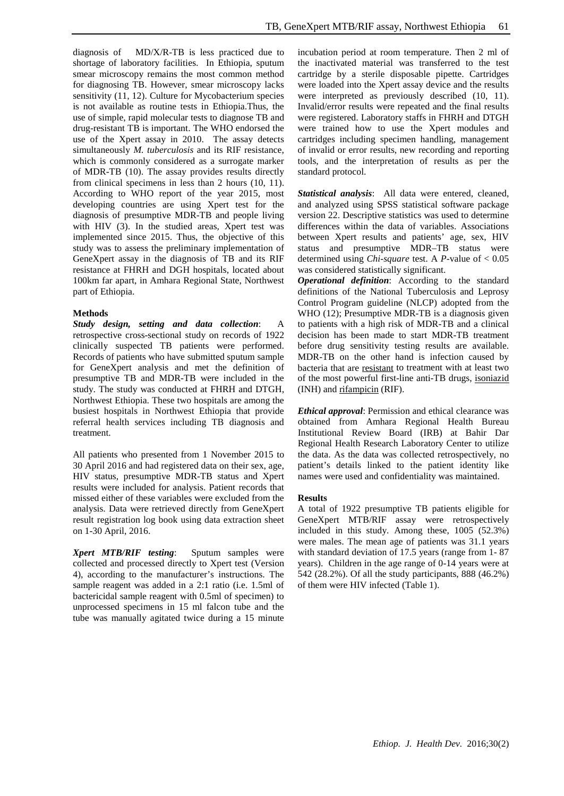diagnosis of MD/X/R-TB is less practiced due to shortage of laboratory facilities. In Ethiopia, sputum smear microscopy remains the most common method for diagnosing TB. However, smear microscopy lacks sensitivity (11, 12). Culture for Mycobacterium species is not available as routine tests in Ethiopia.Thus, the use of simple, rapid molecular tests to diagnose TB and drug-resistant TB is important. The WHO endorsed the use of the Xpert assay in 2010. The assay detects simultaneously *M. tuberculosis* and its RIF resistance, which is commonly considered as a surrogate marker of MDR-TB (10). The assay provides results directly from clinical specimens in less than 2 hours (10, 11). According to WHO report of the year 2015, most developing countries are using Xpert test for the diagnosis of presumptive MDR-TB and people living with HIV (3). In the studied areas, Xpert test was implemented since 2015. Thus, the objective of this study was to assess the preliminary implementation of GeneXpert assay in the diagnosis of TB and its RIF resistance at FHRH and DGH hospitals, located about 100km far apart, in Amhara Regional State, Northwest part of Ethiopia.

## **Methods**

*Study design, setting and data collection*: A retrospective cross-sectional study on records of 1922 clinically suspected TB patients were performed. Records of patients who have submitted sputum sample for GeneXpert analysis and met the definition of presumptive TB and MDR-TB were included in the study. The study was conducted at FHRH and DTGH, Northwest Ethiopia. These two hospitals are among the busiest hospitals in Northwest Ethiopia that provide referral health services including TB diagnosis and treatment.

All patients who presented from 1 November 2015 to 30 April 2016 and had registered data on their sex, age, HIV status, presumptive MDR-TB status and Xpert results were included for analysis. Patient records that missed either of these variables were excluded from the analysis. Data were retrieved directly from GeneXpert result registration log book using data extraction sheet on 1-30 April, 2016.

*Xpert MTB/RIF testing*: Sputum samples were collected and processed directly to Xpert test (Version 4), according to the manufacturer's instructions. The sample reagent was added in a 2:1 ratio (i.e. 1.5ml of bactericidal sample reagent with 0.5ml of specimen) to unprocessed specimens in 15 ml falcon tube and the tube was manually agitated twice during a 15 minute incubation period at room temperature. Then 2 ml of the inactivated material was transferred to the test cartridge by a sterile disposable pipette. Cartridges were loaded into the Xpert assay device and the results were interpreted as previously described (10, 11). Invalid/error results were repeated and the final results were registered. Laboratory staffs in FHRH and DTGH were trained how to use the Xpert modules and cartridges including specimen handling, management of invalid or error results, new recording and reporting tools, and the interpretation of results as per the standard protocol.

*Statistical analysis*: All data were entered, cleaned, and analyzed using SPSS statistical software package version 22. Descriptive statistics was used to determine differences within the data of variables. Associations between Xpert results and patients' age, sex, HIV status and presumptive MDR–TB status were determined using *Chi-square* test. A *P*-value of < 0.05 was considered statistically significant.

*Operational definition*: According to the standard definitions of the National Tuberculosis and Leprosy Control Program guideline (NLCP) adopted from the WHO (12); Presumptive MDR-TB is a diagnosis given to patients with a high risk of MDR-TB and a clinical decision has been made to start MDR-TB treatment before drug sensitivity testing results are available. MDR-TB on the other hand is infection caused by bacteria that are [resistant](https://en.wikipedia.org/wiki/Antibiotic_resistance) to treatment with at least two of the most powerful first-line anti-TB drugs, [isoniazid](https://en.wikipedia.org/wiki/Isoniazid) (INH) and [rifampicin](https://en.wikipedia.org/wiki/Rifampicin) (RIF).

*Ethical approval*: Permission and ethical clearance was obtained from Amhara Regional Health Bureau Institutional Review Board (IRB) at Bahir Dar Regional Health Research Laboratory Center to utilize the data. As the data was collected retrospectively, no patient's details linked to the patient identity like names were used and confidentiality was maintained.

#### **Results**

A total of 1922 presumptive TB patients eligible for GeneXpert MTB/RIF assay were retrospectively included in this study. Among these, 1005 (52.3%) were males. The mean age of patients was 31.1 years with standard deviation of 17.5 years (range from 1- 87 years). Children in the age range of 0-14 years were at 542 (28.2%). Of all the study participants, 888 (46.2%) of them were HIV infected (Table 1).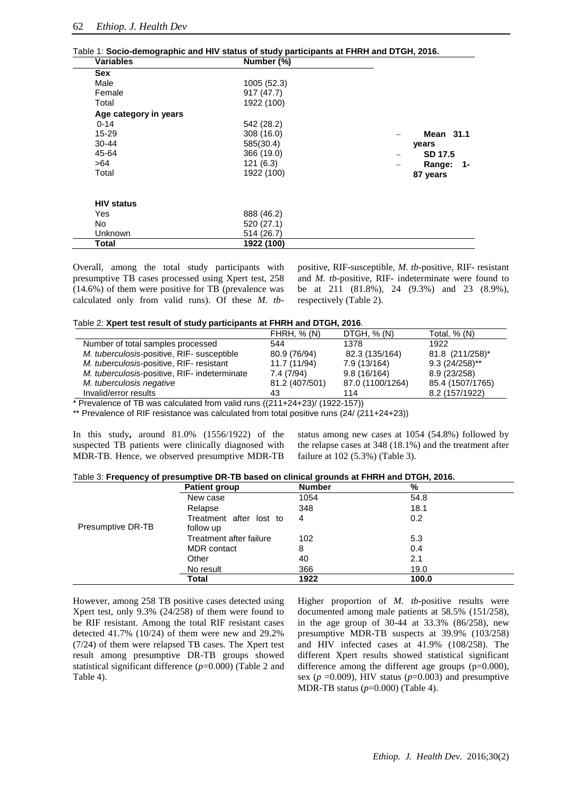|  | Table 1: Socio-demographic and HIV status of study participants at FHRH and DTGH, 2016.                         |  |  |  |  |
|--|-----------------------------------------------------------------------------------------------------------------|--|--|--|--|
|  | the contract of the contract of the contract of the contract of the contract of the contract of the contract of |  |  |  |  |

| <b>Variables</b>      | Number (%)  |              |
|-----------------------|-------------|--------------|
| Sex                   |             |              |
| Male                  | 1005 (52.3) |              |
| Female                | 917(47.7)   |              |
| Total                 | 1922 (100)  |              |
| Age category in years |             |              |
| $0 - 14$              | 542 (28.2)  |              |
| 15-29                 | 308 (16.0)  | Mean 31.1    |
| $30 - 44$             | 585(30.4)   | years        |
| 45-64                 | 366 (19.0)  | SD 17.5      |
| >64                   | 121(6.3)    | Range:<br>-1 |
| Total                 | 1922 (100)  | 87 years     |
|                       |             |              |
| <b>HIV status</b>     |             |              |
| Yes                   | 888 (46.2)  |              |
| No                    | 520 (27.1)  |              |
| Unknown               | 514 (26.7)  |              |
| Total                 | 1922 (100)  |              |

Overall, among the total study participants with presumptive TB cases processed using Xpert test, 258 (14.6%) of them were positive for TB (prevalence was calculated only from valid runs). Of these *M. tb*- positive, RIF-susceptible, *M. tb*-positive, RIF- resistant and *M. tb*-positive, RIF- indeterminate were found to be at 211 (81.8%), 24 (9.3%) and 23 (8.9%), respectively (Table 2).

| Table 2: Xpert test result of study participants at FHRH and DTGH, 2016. |  |  |  |
|--------------------------------------------------------------------------|--|--|--|
|--------------------------------------------------------------------------|--|--|--|

|                                              | <b>FHRH, % (N)</b> | DTGH, $% (N)$    | Total, $% (N)$   |
|----------------------------------------------|--------------------|------------------|------------------|
| Number of total samples processed            | 544                | 1378             | 1922             |
| M. tuberculosis-positive, RIF- susceptible   | 80.9 (76/94)       | 82.3 (135/164)   | 81.8 (211/258)*  |
| M. tuberculosis-positive, RIF- resistant     | 11.7 (11/94)       | 7.9 (13/164)     | $9.3(24/258)$ ** |
| M. tuberculosis-positive, RIF- indeterminate | 7.4(7/94)          | 9.8(16/164)      | 8.9 (23/258)     |
| M. tuberculosis negative                     | 81.2 (407/501)     | 87.0 (1100/1264) | 85.4 (1507/1765) |
| Invalid/error results                        | 43                 | 114              | 8.2 (157/1922)   |

\* Prevalence of TB was calculated from valid runs  $((211+24+23)/(1922-157))$ 

\*\* Prevalence of RIF resistance was calculated from total positive runs (24/ (211+24+23))

In this study**,** around 81.0% (1556/1922) of the suspected TB patients were clinically diagnosed with MDR-TB. Hence, we observed presumptive MDR-TB status among new cases at 1054 (54.8%) followed by the relapse cases at 348 (18.1%) and the treatment after failure at 102 (5.3%) (Table 3).

| Table 3: Frequency of presumptive DR-TB based on clinical grounds at FHRH and DTGH, 2016. |  |
|-------------------------------------------------------------------------------------------|--|
|-------------------------------------------------------------------------------------------|--|

|                   | <b>Patient group</b>    | <b>Number</b> | %     |
|-------------------|-------------------------|---------------|-------|
|                   | New case                | 1054          | 54.8  |
|                   | Relapse                 | 348           | 18.1  |
|                   | Treatment after lost to | 4             | 0.2   |
| Presumptive DR-TB | follow up               |               |       |
|                   | Treatment after failure | 102           | 5.3   |
|                   | <b>MDR</b> contact      | 8             | 0.4   |
|                   | Other                   | 40            | 2.1   |
|                   | No result               | 366           | 19.0  |
|                   | Total                   | 1922          | 100.0 |

However, among 258 TB positive cases detected using Xpert test, only 9.3% (24/258) of them were found to be RIF resistant. Among the total RIF resistant cases detected 41.7% (10/24) of them were new and 29.2% (7/24) of them were relapsed TB cases. The Xpert test result among presumptive DR-TB groups showed statistical significant difference (*p*=0.000) (Table 2 and Table 4).

Higher proportion of *M. tb*-positive results were documented among male patients at 58.5% (151/258), in the age group of 30-44 at 33.3% (86/258), new presumptive MDR-TB suspects at 39.9% (103/258) and HIV infected cases at 41.9% (108/258). The different Xpert results showed statistical significant difference among the different age groups (p=0.000), sex ( $p = 0.009$ ), HIV status ( $p = 0.003$ ) and presumptive MDR-TB status (*p*=0.000) (Table 4).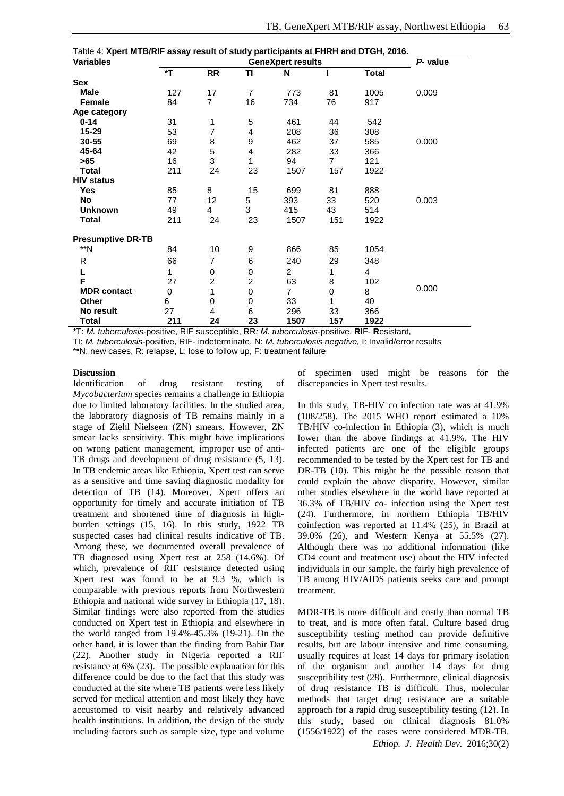| Table 4: Xpert MTB/RIF assay result of study participants at FHRH and DTGH, 2016. |                          |                |                |                |                |       |          |
|-----------------------------------------------------------------------------------|--------------------------|----------------|----------------|----------------|----------------|-------|----------|
| <b>Variables</b>                                                                  | <b>GeneXpert results</b> |                |                |                |                |       | P- value |
|                                                                                   | *T                       | <b>RR</b>      | ΤI             | N              |                | Total |          |
| <b>Sex</b>                                                                        |                          |                |                |                |                |       |          |
| Male                                                                              | 127                      | 17             | $\overline{7}$ | 773            | 81             | 1005  | 0.009    |
| <b>Female</b>                                                                     | 84                       | $\overline{7}$ | 16             | 734            | 76             | 917   |          |
| Age category                                                                      |                          |                |                |                |                |       |          |
| $0 - 14$                                                                          | 31                       | 1              | 5              | 461            | 44             | 542   |          |
| $15 - 29$                                                                         | 53                       | $\overline{7}$ | 4              | 208            | 36             | 308   |          |
| 30-55                                                                             | 69                       | 8              | 9              | 462            | 37             | 585   | 0.000    |
| 45-64                                                                             | 42                       | 5              | 4              | 282            | 33             | 366   |          |
| >65                                                                               | 16                       | 3              | 1              | 94             | $\overline{7}$ | 121   |          |
| <b>Total</b>                                                                      | 211                      | 24             | 23             | 1507           | 157            | 1922  |          |
| <b>HIV status</b>                                                                 |                          |                |                |                |                |       |          |
| Yes                                                                               | 85                       | 8              | 15             | 699            | 81             | 888   |          |
| <b>No</b>                                                                         | 77                       | 12             | 5              | 393            | 33             | 520   | 0.003    |
| <b>Unknown</b>                                                                    | 49                       | 4              | 3              | 415            | 43             | 514   |          |
| <b>Total</b>                                                                      | 211                      | 24             | 23             | 1507           | 151            | 1922  |          |
| <b>Presumptive DR-TB</b>                                                          |                          |                |                |                |                |       |          |
| $**N$                                                                             | 84                       | 10             | 9              | 866            | 85             | 1054  |          |
|                                                                                   |                          |                |                |                |                |       |          |
| R                                                                                 | 66                       | 7              | 6              | 240            | 29             | 348   |          |
| L                                                                                 | 1                        | 0              | 0              | 2              | 1              | 4     |          |
| F                                                                                 | 27                       | $\overline{c}$ | $\overline{c}$ | 63             | 8              | 102   | 0.000    |
| <b>MDR</b> contact                                                                | $\Omega$                 | 1              | $\Omega$       | $\overline{7}$ | $\mathbf 0$    | 8     |          |
| Other                                                                             | 6                        | 0              | 0              | 33             | 1              | 40    |          |
| No result                                                                         | 27                       | 4              | 6              | 296            | 33             | 366   |          |
| Total                                                                             | 211                      | 24             | 23             | 1507           | 157            | 1922  |          |

\*T: *M. tuberculosis*-positive, RIF susceptible, RR*: M. tuberculosis*-positive, **R**IF- **R**esistant,

TI: *M. tuberculosis*-positive, RIF- indeterminate, N: *M. tuberculosis negative,* I: Invalid/error results

\*\*N: new cases, R: relapse, L: lose to follow up, F: treatment failure

## **Discussion**

Identification of drug resistant testing of *Mycobacterium* species remains a challenge in Ethiopia due to limited laboratory facilities. In the studied area, the laboratory diagnosis of TB remains mainly in a stage of Ziehl Nielseen (ZN) smears. However, ZN smear lacks sensitivity. This might have implications on wrong patient management, improper use of anti-TB drugs and development of drug resistance (5, 13). In TB endemic areas like Ethiopia, Xpert test can serve as a sensitive and time saving diagnostic modality for detection of TB (14). Moreover, Xpert offers an opportunity for timely and accurate initiation of TB treatment and shortened time of diagnosis in highburden settings (15, 16). In this study, 1922 TB suspected cases had clinical results indicative of TB. Among these, we documented overall prevalence of TB diagnosed using Xpert test at 258 (14.6%). Of which, prevalence of RIF resistance detected using Xpert test was found to be at 9.3 %, which is comparable with previous reports from Northwestern Ethiopia and national wide survey in Ethiopia (17, 18). Similar findings were also reported from the studies conducted on Xpert test in Ethiopia and elsewhere in the world ranged from 19.4%-45.3% (19-21). On the other hand, it is lower than the finding from Bahir Dar (22). Another study in Nigeria reported a RIF resistance at 6% (23). The possible explanation for this difference could be due to the fact that this study was conducted at the site where TB patients were less likely served for medical attention and most likely they have accustomed to visit nearby and relatively advanced health institutions. In addition, the design of the study including factors such as sample size, type and volume of specimen used might be reasons for the discrepancies in Xpert test results.

In this study, TB-HIV co infection rate was at 41.9% (108/258). The 2015 WHO report estimated a 10% TB/HIV co-infection in Ethiopia (3), which is much lower than the above findings at 41.9%. The HIV infected patients are one of the eligible groups recommended to be tested by the Xpert test for TB and DR-TB (10). This might be the possible reason that could explain the above disparity. However, similar other studies elsewhere in the world have reported at 36.3% of TB/HIV co- infection using the Xpert test (24). Furthermore, in northern Ethiopia TB/HIV coinfection was reported at 11.4% (25), in Brazil at 39.0% (26), and Western Kenya at 55.5% (27). Although there was no additional information (like CD4 count and treatment use) about the HIV infected individuals in our sample, the fairly high prevalence of TB among HIV/AIDS patients seeks care and prompt treatment.

MDR-TB is more difficult and costly than normal TB to treat, and is more often fatal. Culture based drug susceptibility testing method can provide definitive results, but are labour intensive and time consuming, usually requires at least 14 days for primary isolation of the organism and another 14 days for drug susceptibility test (28). Furthermore, clinical diagnosis of drug resistance TB is difficult. Thus, molecular methods that target drug resistance are a suitable approach for a rapid drug susceptibility testing (12). In this study, based on clinical diagnosis 81.0% (1556/1922) of the cases were considered MDR-TB. *Ethiop. J. Health Dev.* 2016;30(2)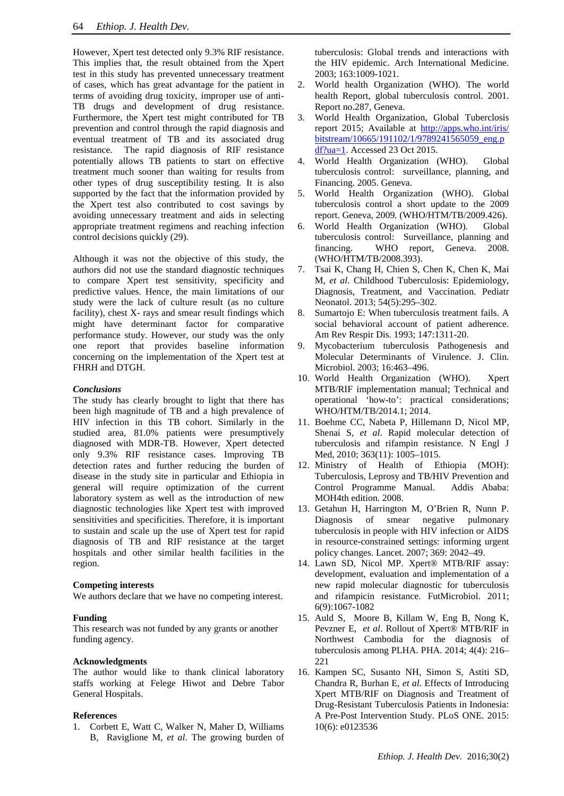However, Xpert test detected only 9.3% RIF resistance. This implies that, the result obtained from the Xpert test in this study has prevented unnecessary treatment of cases, which has great advantage for the patient in terms of avoiding drug toxicity, improper use of anti-TB drugs and development of drug resistance. Furthermore, the Xpert test might contributed for TB prevention and control through the rapid diagnosis and eventual treatment of TB and its associated drug resistance. The rapid diagnosis of RIF resistance potentially allows TB patients to start on effective treatment much sooner than waiting for results from other types of drug susceptibility testing. It is also supported by the fact that the information provided by the Xpert test also contributed to cost savings by avoiding unnecessary treatment and aids in selecting appropriate treatment regimens and reaching infection control decisions quickly (29).

Although it was not the objective of this study, the authors did not use the standard diagnostic techniques to compare Xpert test sensitivity, specificity and predictive values. Hence, the main limitations of our study were the lack of culture result (as no culture facility), chest X- rays and smear result findings which might have determinant factor for comparative performance study. However, our study was the only one report that provides baseline information concerning on the implementation of the Xpert test at FHRH and DTGH.

# *Conclusions*

The study has clearly brought to light that there has been high magnitude of TB and a high prevalence of HIV infection in this TB cohort. Similarly in the studied area, 81.0% patients were presumptively diagnosed with MDR-TB. However, Xpert detected only 9.3% RIF resistance cases. Improving TB detection rates and further reducing the burden of disease in the study site in particular and Ethiopia in general will require optimization of the current laboratory system as well as the introduction of new diagnostic technologies like Xpert test with improved sensitivities and specificities. Therefore, it is important to sustain and scale up the use of Xpert test for rapid diagnosis of TB and RIF resistance at the target hospitals and other similar health facilities in the region.

# **Competing interests**

We authors declare that we have no competing interest.

# **Funding**

This research was not funded by any grants or another funding agency.

# **Acknowledgments**

The author would like to thank clinical laboratory staffs working at Felege Hiwot and Debre Tabor General Hospitals.

# **References**

1. Corbett E, Watt C, Walker N, Maher D, Williams B, Raviglione M, *et al*. The growing burden of tuberculosis: Global trends and interactions with the HIV epidemic. Arch International Medicine. 2003; 163:1009-1021.

- 2. World health Organization (WHO). The world health Report, global tuberculosis control. 2001. Report no.287, Geneva.
- 3. World Health Organization, Global Tuberclosis report 2015; Available at [http://apps.who.int/iris/](http://apps.who.int/iris/%20bitstream/10665/191102/1/9789241565059_eng.pdf?ua=1)  [bitstream/10665/191102/1/9789241565059\\_eng.p](http://apps.who.int/iris/%20bitstream/10665/191102/1/9789241565059_eng.pdf?ua=1) [df?ua=1.](http://apps.who.int/iris/%20bitstream/10665/191102/1/9789241565059_eng.pdf?ua=1) Accessed 23 Oct 2015.
- 4. World Health Organization (WHO). Global tuberculosis control: surveillance, planning, and Financing. 2005. Geneva.
- 5. World Health Organization (WHO). Global tuberculosis control a short update to the 2009 report. Geneva, 2009*.* (WHO/HTM/TB/2009.426).
- 6. World Health Organization (WHO). Global tuberculosis control: Surveillance, planning and financing. WHO report, Geneva. 2008. (WHO/HTM/TB/2008.393).
- 7. Tsai K, Chang H, Chien S, Chen K, Chen K, Mai M, *et al*. Childhood Tuberculosis: Epidemiology, Diagnosis, Treatment, and Vaccination. Pediatr Neonatol. 2013; 54(5):295–302.
- 8. Sumartojo E: When tuberculosis treatment fails. A social behavioral account of patient adherence. Am Rev Respir Dis. 1993; 147:1311-20.
- 9. Mycobacterium tuberculosis Pathogenesis and Molecular Determinants of Virulence. J. Clin. Microbiol. 2003; 16:463–496.
- 10. World Health Organization (WHO). Xpert MTB/RIF implementation manual; Technical and operational 'how-to': practical considerations; WHO/HTM/TB/2014.1; 2014.
- 11. Boehme CC, Nabeta P, Hillemann D, Nicol MP, Shenai S, *et al*. Rapid molecular detection of tuberculosis and rifampin resistance. N Engl J Med, 2010; 363(11): 1005–1015.
- 12. Ministry of Health of Ethiopia (MOH): Tuberculosis, Leprosy and TB/HIV Prevention and Control Programme Manual. Addis Ababa: MOH4th edition. 2008.
- 13. Getahun H, Harrington M, O'Brien R, Nunn P. Diagnosis of smear negative pulmonary tuberculosis in people with HIV infection or AIDS in resource-constrained settings: informing urgent policy changes. Lancet. 2007; 369: 2042–49.
- 14. Lawn SD, Nicol MP. Xpert® MTB/RIF assay: development, evaluation and implementation of a new rapid molecular diagnostic for tuberculosis and rifampicin resistance. FutMicrobiol. 2011; 6(9):1067-1082
- 15. Auld S, Moore B, Killam W, Eng B, Nong K, Pevzner E, *et al*. Rollout of Xpert® MTB/RIF in Northwest Cambodia for the diagnosis of tuberculosis among PLHA. PHA. 2014; 4(4): 216– 221
- 16. Kampen SC, Susanto NH, Simon S, Astiti SD, Chandra R, Burhan E, *et al*. Effects of Introducing Xpert MTB/RIF on Diagnosis and Treatment of Drug-Resistant Tuberculosis Patients in Indonesia: A Pre-Post Intervention Study. PLoS ONE. 2015: 10(6): e0123536